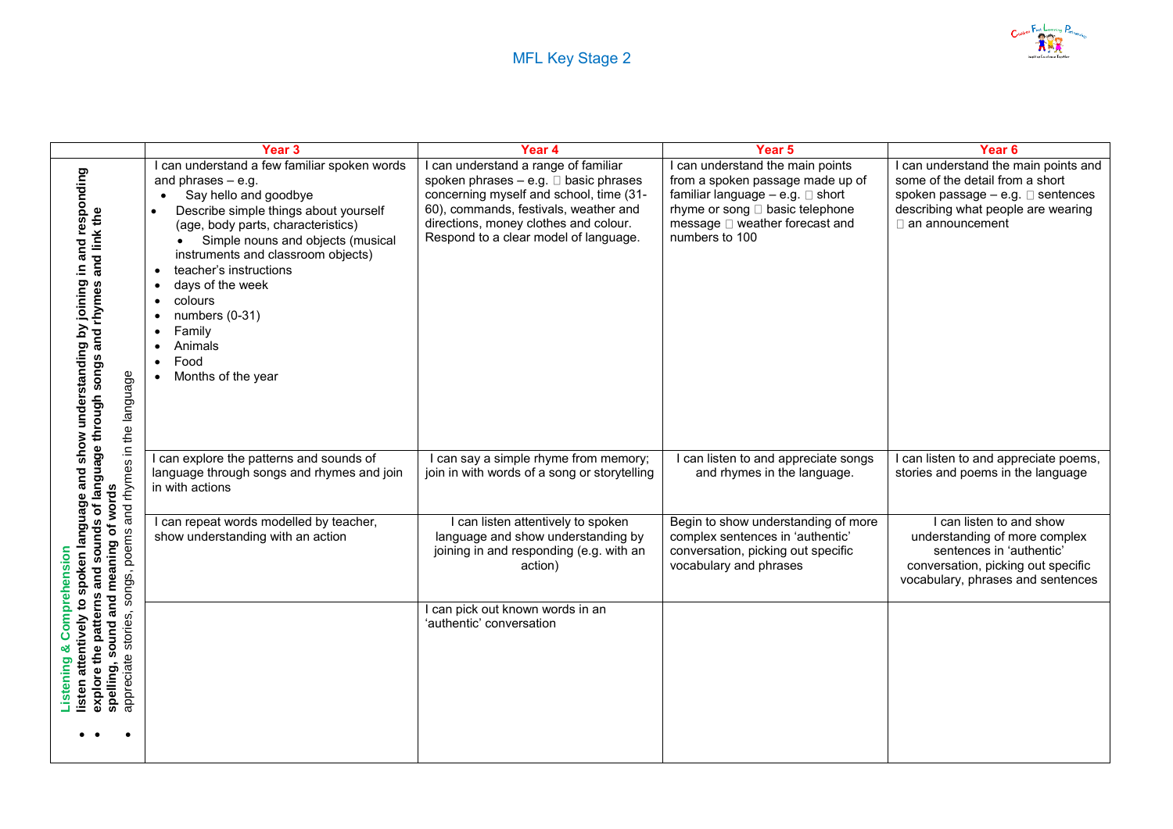

|                                                                                                                                                                                                                                                                                                                                  | Year 3                                                                                                                                                                                                                                                                                                                                                                                | Year 4                                                                                                                                                                                                                                                     | Year 5                                                                                                                                                                                                 | Year <sub>6</sub>                                                                                                                                                                      |
|----------------------------------------------------------------------------------------------------------------------------------------------------------------------------------------------------------------------------------------------------------------------------------------------------------------------------------|---------------------------------------------------------------------------------------------------------------------------------------------------------------------------------------------------------------------------------------------------------------------------------------------------------------------------------------------------------------------------------------|------------------------------------------------------------------------------------------------------------------------------------------------------------------------------------------------------------------------------------------------------------|--------------------------------------------------------------------------------------------------------------------------------------------------------------------------------------------------------|----------------------------------------------------------------------------------------------------------------------------------------------------------------------------------------|
| joining in and responding<br>explore the patterns and sounds of language through songs and rhymes and link the<br>listen attentively to spoken language and show understanding by<br>songs, poems and rhymes in the language<br>spelling, sound and meaning of words<br>Comprehensio<br>stories,<br>ೲ<br>appreciate<br>Listening | I can understand a few familiar spoken words<br>and phrases $-$ e.g.<br>Say hello and goodbye<br>Describe simple things about yourself<br>(age, body parts, characteristics)<br>Simple nouns and objects (musical<br>instruments and classroom objects)<br>teacher's instructions<br>days of the week<br>colours<br>numbers (0-31)<br>Family<br>Animals<br>Food<br>Months of the year | I can understand a range of familiar<br>spoken phrases $-$ e.g. $\Box$ basic phrases<br>concerning myself and school, time (31-<br>60), commands, festivals, weather and<br>directions, money clothes and colour.<br>Respond to a clear model of language. | I can understand the main points<br>from a spoken passage made up of<br>familiar language $-$ e.g. $\Box$ short<br>rhyme or song □ basic telephone<br>message □ weather forecast and<br>numbers to 100 | I can understand the main points and<br>some of the detail from a short<br>spoken passage $-$ e.g. $\square$ sentences<br>describing what people are wearing<br>$\Box$ an announcement |
|                                                                                                                                                                                                                                                                                                                                  | I can explore the patterns and sounds of<br>language through songs and rhymes and join<br>in with actions                                                                                                                                                                                                                                                                             | I can say a simple rhyme from memory;<br>join in with words of a song or storytelling                                                                                                                                                                      | I can listen to and appreciate songs<br>and rhymes in the language.                                                                                                                                    | I can listen to and appreciate poems,<br>stories and poems in the language                                                                                                             |
|                                                                                                                                                                                                                                                                                                                                  | I can repeat words modelled by teacher,<br>show understanding with an action                                                                                                                                                                                                                                                                                                          | I can listen attentively to spoken<br>language and show understanding by<br>joining in and responding (e.g. with an<br>action)                                                                                                                             | Begin to show understanding of more<br>complex sentences in 'authentic'<br>conversation, picking out specific<br>vocabulary and phrases                                                                | I can listen to and show<br>understanding of more complex<br>sentences in 'authentic'<br>conversation, picking out specific<br>vocabulary, phrases and sentences                       |
|                                                                                                                                                                                                                                                                                                                                  |                                                                                                                                                                                                                                                                                                                                                                                       | I can pick out known words in an<br>'authentic' conversation                                                                                                                                                                                               |                                                                                                                                                                                                        |                                                                                                                                                                                        |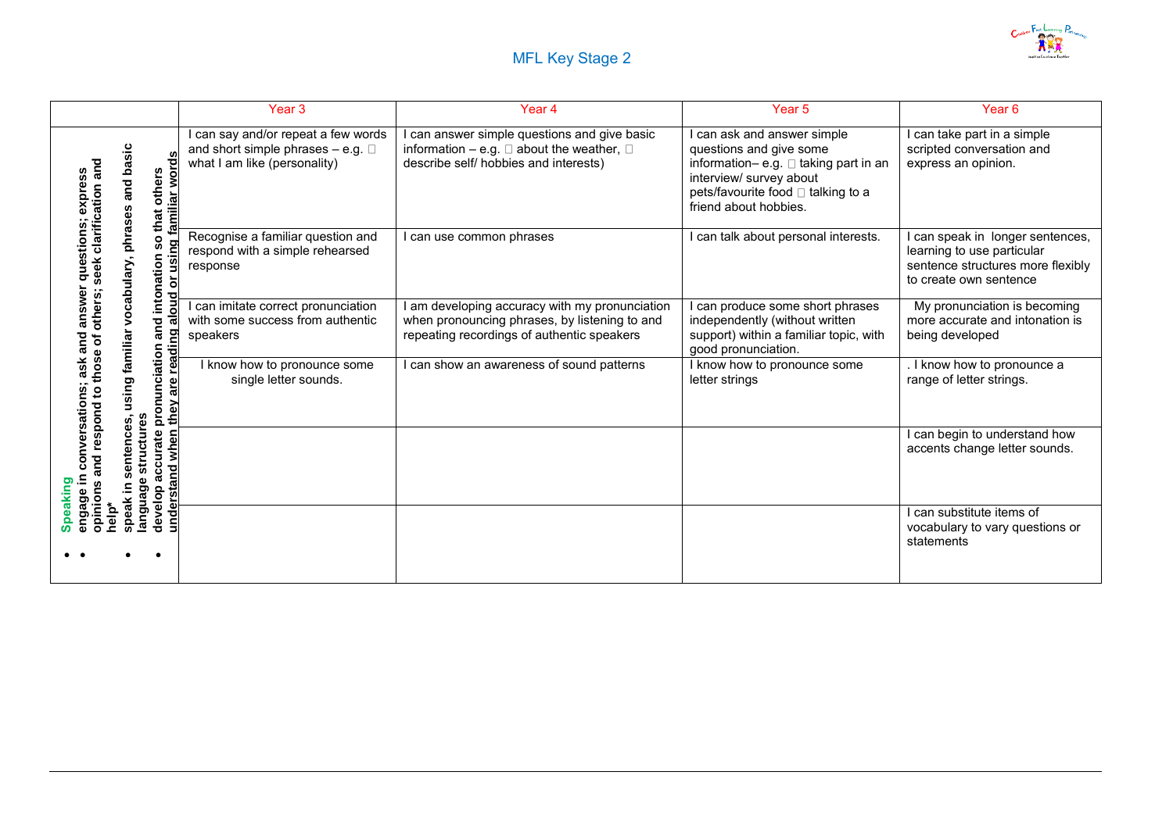

|                                                                                                         | Year <sub>3</sub>                                                                                               | Year 4                                                                                                                                             | Year <sub>5</sub>                                                                                                                                                                       | Year <sub>6</sub>                                                                                                           |
|---------------------------------------------------------------------------------------------------------|-----------------------------------------------------------------------------------------------------------------|----------------------------------------------------------------------------------------------------------------------------------------------------|-----------------------------------------------------------------------------------------------------------------------------------------------------------------------------------------|-----------------------------------------------------------------------------------------------------------------------------|
| basic<br>familiar word<br>an<br>others<br>expres<br>and<br>clarification<br>that                        | I can say and/or repeat a few words<br>and short simple phrases $-$ e.g. $\Box$<br>what I am like (personality) | can answer simple questions and give basic<br>information $-$ e.g. $\square$ about the weather, $\square$<br>describe self/ hobbies and interests) | can ask and answer simple<br>questions and give some<br>information- e.g. □ taking part in an<br>interview/ survey about<br>pets/favourite food □ talking to a<br>friend about hobbies. | can take part in a simple<br>scripted conversation and<br>express an opinion.                                               |
| phrases,<br>questions;<br>SO<br>or usin<br>and intonation<br>seek<br>vocabulary                         | Recognise a familiar question and<br>respond with a simple rehearsed<br>response                                | can use common phrases                                                                                                                             | can talk about personal interests.                                                                                                                                                      | can speak in longer sentences,<br>learning to use particular<br>sentence structures more flexibly<br>to create own sentence |
| answer<br>others;<br>$\overline{5}$<br>familiar<br>and<br>৳                                             | can imitate correct pronunciation<br>with some success from authentic<br>speakers                               | I am developing accuracy with my pronunciation<br>when pronouncing phrases, by listening to and<br>repeating recordings of authentic speakers      | can produce some short phrases<br>independently (without written<br>support) within a familiar topic, with<br>good pronunciation.                                                       | My pronunciation is becoming<br>more accurate and intonation is<br>being developed                                          |
| pronunciation<br>readi<br>ask<br>thos<br>using<br>are<br>$\mathbf{S}$<br>they<br><b>prod</b>            | I know how to pronounce some<br>single letter sounds.                                                           | can show an awareness of sound patterns                                                                                                            | I know how to pronounce some<br>letter strings                                                                                                                                          | I know how to pronounce a<br>range of letter strings.                                                                       |
| conversations;<br>structures<br>es<br>8<br>ă<br>S<br>accurate<br>understand when<br>pq<br>≘.<br>anguage |                                                                                                                 |                                                                                                                                                    |                                                                                                                                                                                         | can begin to understand how<br>accents change letter sounds.                                                                |
| Speaking<br>develop<br>engage<br>opinions<br>help*<br>speal                                             |                                                                                                                 |                                                                                                                                                    |                                                                                                                                                                                         | can substitute items of<br>vocabulary to vary questions or<br>statements                                                    |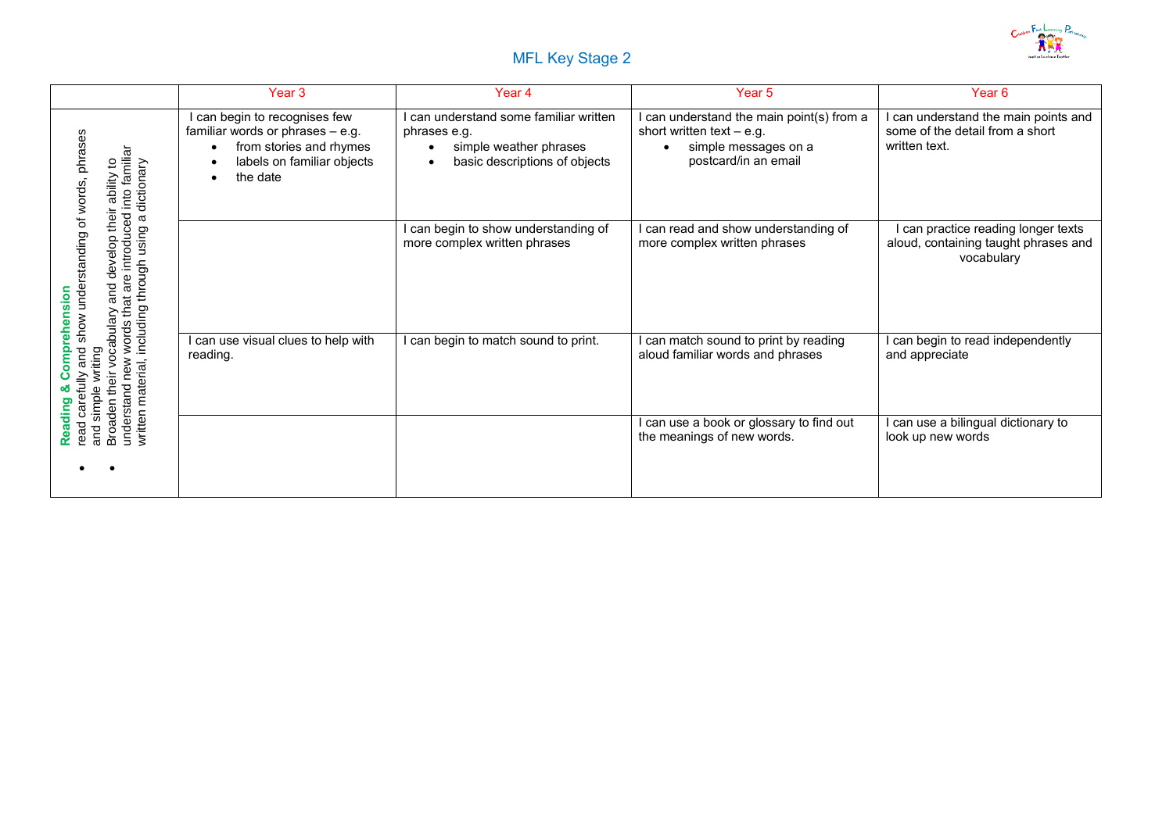

## MFL Key Stage 2

|                                                                                                                               | Year 3                                                                                                                                 | Year 4                                                                                                            | Year <sub>5</sub>                                                                                                        | Year <sub>6</sub>                                                                        |
|-------------------------------------------------------------------------------------------------------------------------------|----------------------------------------------------------------------------------------------------------------------------------------|-------------------------------------------------------------------------------------------------------------------|--------------------------------------------------------------------------------------------------------------------------|------------------------------------------------------------------------------------------|
| words, phrases<br>introduced into familiar<br>ability to<br>dictionary<br>Φ                                                   | I can begin to recognises few<br>familiar words or phrases - e.g.<br>from stories and rhymes<br>labels on familiar objects<br>the date | I can understand some familiar written<br>phrases e.g.<br>simple weather phrases<br>basic descriptions of objects | I can understand the main point(s) from a<br>short written text $-$ e.g.<br>simple messages on a<br>postcard/in an email | I can understand the main points and<br>some of the detail from a short<br>written text. |
| develop their<br>show understanding of<br>through using<br>words that are in<br>including throug<br>and                       |                                                                                                                                        | I can begin to show understanding of<br>more complex written phrases                                              | I can read and show understanding of<br>more complex written phrases                                                     | can practice reading longer texts<br>aloud, containing taught phrases and<br>vocabulary  |
| Comprehension<br>Broaden their vocabulary<br>and<br>and simple writing<br>new<br>written material,<br>carefully<br>understand | can use visual clues to help with<br>reading.                                                                                          | I can begin to match sound to print.                                                                              | I can match sound to print by reading<br>aloud familiar words and phrases                                                | I can begin to read independently<br>and appreciate                                      |
| Reading<br>read                                                                                                               |                                                                                                                                        |                                                                                                                   | I can use a book or glossary to find out<br>the meanings of new words.                                                   | I can use a bilingual dictionary to<br>look up new words                                 |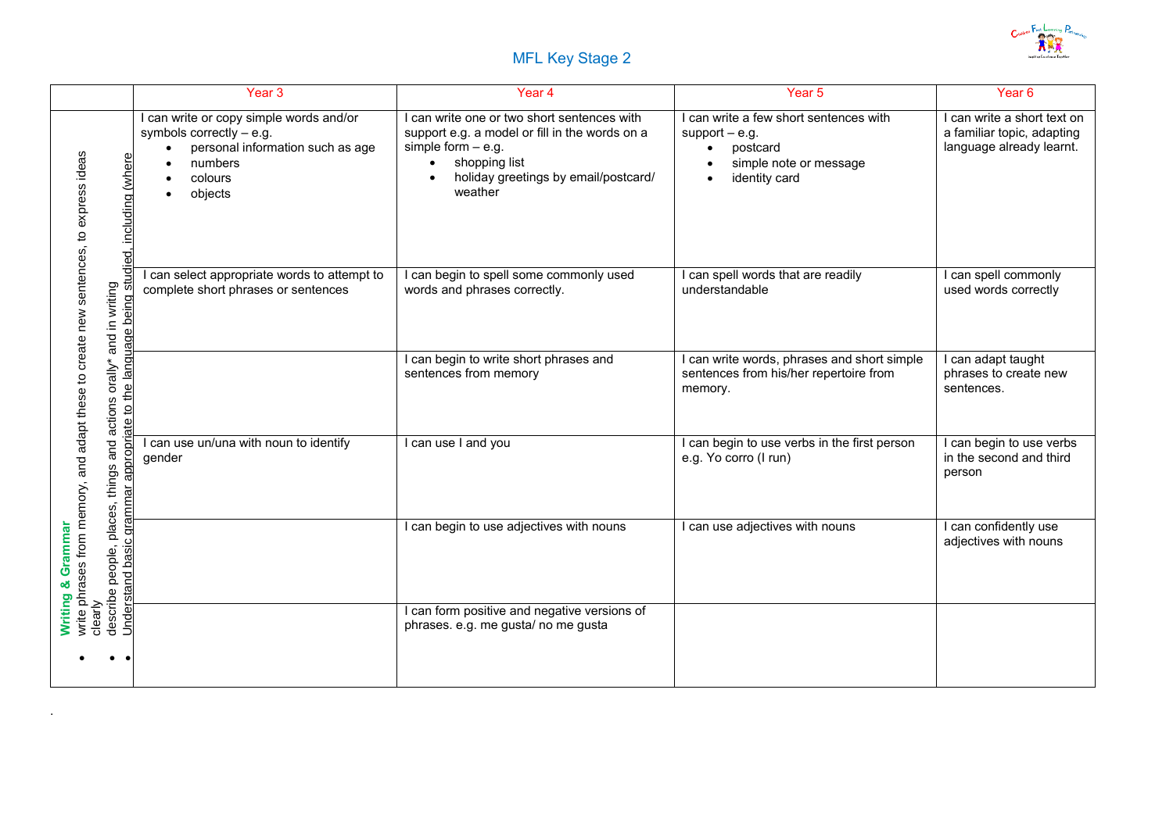

## MFL Key Stage 2

|                                                                                                                                                                                                    | Year <sub>3</sub>                                                                                                                          | Year 4                                                                                                                                                                                    | Year 5                                                                                                            | Year <sub>6</sub>                                                                   |
|----------------------------------------------------------------------------------------------------------------------------------------------------------------------------------------------------|--------------------------------------------------------------------------------------------------------------------------------------------|-------------------------------------------------------------------------------------------------------------------------------------------------------------------------------------------|-------------------------------------------------------------------------------------------------------------------|-------------------------------------------------------------------------------------|
| write phrases from memory, and adapt these to create new sentences, to express ideas<br>clearly<br>describe people, places, things and actions orally* and in writing<br>studied, including (where | I can write or copy simple words and/or<br>symbols correctly $-$ e.g.<br>personal information such as age<br>numbers<br>colours<br>objects | I can write one or two short sentences with<br>support e.g. a model or fill in the words on a<br>simple form $-$ e.g.<br>shopping list<br>holiday greetings by email/postcard/<br>weather | I can write a few short sentences with<br>support $-$ e.g.<br>postcard<br>simple note or message<br>identity card | can write a short text on<br>a familiar topic, adapting<br>language already learnt. |
|                                                                                                                                                                                                    | I can select appropriate words to attempt to<br>complete short phrases or sentences                                                        | I can begin to spell some commonly used<br>words and phrases correctly.                                                                                                                   | I can spell words that are readily<br>understandable                                                              | can spell commonly<br>used words correctly                                          |
| ate to the language being                                                                                                                                                                          |                                                                                                                                            | I can begin to write short phrases and<br>sentences from memory                                                                                                                           | I can write words, phrases and short simple<br>sentences from his/her repertoire from<br>memory.                  | can adapt taught<br>phrases to create new<br>sentences.                             |
|                                                                                                                                                                                                    | can use un/una with noun to identify<br>gender                                                                                             | I can use I and you                                                                                                                                                                       | I can begin to use verbs in the first person<br>e.g. Yo corro (I run)                                             | can begin to use verbs<br>in the second and third<br>person                         |
| Understand basic grammar appropri<br>& Grammar                                                                                                                                                     |                                                                                                                                            | can begin to use adjectives with nouns                                                                                                                                                    | I can use adjectives with nouns                                                                                   | can confidently use<br>adjectives with nouns                                        |
| Writing                                                                                                                                                                                            |                                                                                                                                            | I can form positive and negative versions of<br>phrases. e.g. me gusta/ no me gusta                                                                                                       |                                                                                                                   |                                                                                     |

.